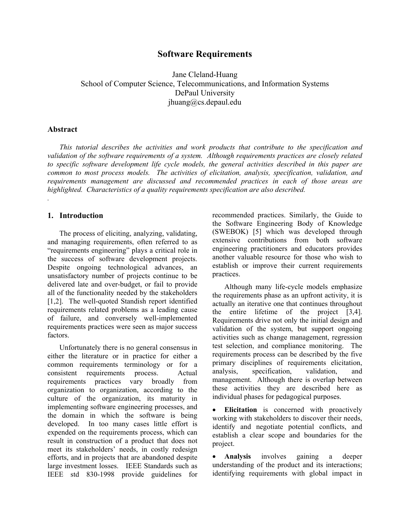# **Software Requirements**

Jane Cleland-Huang School of Computer Science, Telecommunications, and Information Systems DePaul University jhuang@cs.depaul.edu

#### **Abstract**

*.* 

*This tutorial describes the activities and work products that contribute to the specification and validation of the software requirements of a system. Although requirements practices are closely related to specific software development life cycle models, the general activities described in this paper are common to most process models. The activities of elicitation, analysis, specification, validation, and requirements management are discussed and recommended practices in each of those areas are highlighted. Characteristics of a quality requirements specification are also described.* 

### **1. Introduction**

The process of eliciting, analyzing, validating, and managing requirements, often referred to as "requirements engineering" plays a critical role in the success of software development projects. Despite ongoing technological advances, an unsatisfactory number of projects continue to be delivered late and over-budget, or fail to provide all of the functionality needed by the stakeholders [1,2]. The well-quoted Standish report identified requirements related problems as a leading cause of failure, and conversely well-implemented requirements practices were seen as major success factors.

Unfortunately there is no general consensus in either the literature or in practice for either a common requirements terminology or for a consistent requirements process. Actual requirements practices vary broadly from organization to organization, according to the culture of the organization, its maturity in implementing software engineering processes, and the domain in which the software is being developed. In too many cases little effort is expended on the requirements process, which can result in construction of a product that does not meet its stakeholders' needs, in costly redesign efforts, and in projects that are abandoned despite large investment losses. IEEE Standards such as IEEE std 830-1998 provide guidelines for

recommended practices. Similarly, the Guide to the Software Engineering Body of Knowledge (SWEBOK) [5] which was developed through extensive contributions from both software engineering practitioners and educators provides another valuable resource for those who wish to establish or improve their current requirements practices.

 Although many life-cycle models emphasize the requirements phase as an upfront activity, it is actually an iterative one that continues throughout the entire lifetime of the project [3,4]. Requirements drive not only the initial design and validation of the system, but support ongoing activities such as change management, regression test selection, and compliance monitoring. The requirements process can be described by the five primary disciplines of requirements elicitation, analysis, specification, validation, and management. Although there is overlap between these activities they are described here as individual phases for pedagogical purposes.

**Elicitation** is concerned with proactively working with stakeholders to discover their needs, identify and negotiate potential conflicts, and establish a clear scope and boundaries for the project.

• **Analysis** involves gaining a deeper understanding of the product and its interactions; identifying requirements with global impact in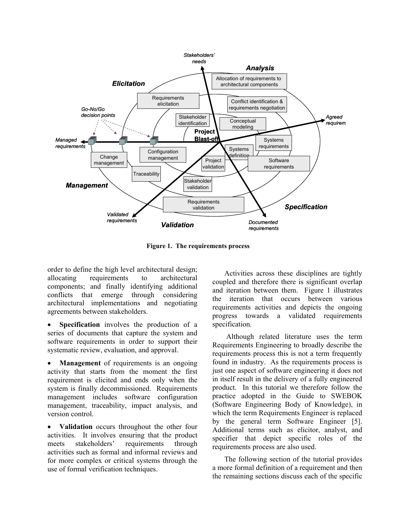

**Figure 1. The requirements process** 

order to define the high level architectural design; allocating requirements to architectural components; and finally identifying additional conflicts that emerge through considering architectural implementations and negotiating agreements between stakeholders.

**Specification** involves the production of a series of documents that capture the system and software requirements in order to support their systematic review, evaluation, and approval.

**Management** of requirements is an ongoing activity that starts from the moment the first requirement is elicited and ends only when the system is finally decommissioned. Requirements management includes software configuration management, traceability, impact analysis, and version control.

Validation occurs throughout the other four activities. It involves ensuring that the product meets stakeholders' requirements through activities such as formal and informal reviews and for more complex or critical systems through the use of formal verification techniques.

 Activities across these disciplines are tightly coupled and therefore there is significant overlap and iteration between them. Figure 1 illustrates the iteration that occurs between various requirements activities and depicts the ongoing progress towards a validated requirements specification.

 Although related literature uses the term Requirements Engineering to broadly describe the requirements process this is not a term frequently found in industry. As the requirements process is just one aspect of software engineering it does not in itself result in the delivery of a fully engineered product. In this tutorial we therefore follow the practice adopted in the Guide to SWEBOK (Software Engineering Body of Knowledge), in which the term Requirements Engineer is replaced by the general term Software Engineer [5]. Additional terms such as elicitor, analyst, and specifier that depict specific roles of the requirements process are also used.

 The following section of the tutorial provides a more formal definition of a requirement and then the remaining sections discuss each of the specific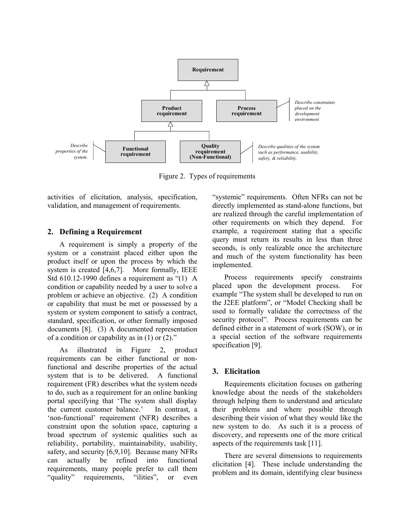

Figure 2. Types of requirements

activities of elicitation, analysis, specification, validation, and management of requirements.

#### **2. Defining a Requirement**

A requirement is simply a property of the system or a constraint placed either upon the product itself or upon the process by which the system is created [4,6,7]. More formally, IEEE Std 610.12-1990 defines a requirement as "(1) A condition or capability needed by a user to solve a problem or achieve an objective. (2) A condition or capability that must be met or possessed by a system or system component to satisfy a contract, standard, specification, or other formally imposed documents [8]. (3) A documented representation of a condition or capability as in  $(1)$  or  $(2)$ ."

 As illustrated in Figure 2, product requirements can be either functional or nonfunctional and describe properties of the actual system that is to be delivered. A functional requirement (FR) describes what the system needs to do, such as a requirement for an online banking portal specifying that 'The system shall display the current customer balance.' In contrast, a 'non-functional' requirement (NFR) describes a constraint upon the solution space, capturing a broad spectrum of systemic qualities such as reliability, portability, maintainability, usability, safety, and security [6,9,10]. Because many NFRs can actually be refined into functional requirements, many people prefer to call them "quality" requirements, "ilities", or even

"systemic" requirements. Often NFRs can not be directly implemented as stand-alone functions, but are realized through the careful implementation of other requirements on which they depend. For example, a requirement stating that a specific query must return its results in less than three seconds, is only realizable once the architecture and much of the system functionality has been implemented.

 Process requirements specify constraints placed upon the development process. For example "The system shall be developed to run on the J2EE platform", or "Model Checking shall be used to formally validate the correctness of the security protocol". Process requirements can be defined either in a statement of work (SOW), or in a special section of the software requirements specification [9].

## **3. Elicitation**

 Requirements elicitation focuses on gathering knowledge about the needs of the stakeholders through helping them to understand and articulate their problems and where possible through describing their vision of what they would like the new system to do. As such it is a process of discovery, and represents one of the more critical aspects of the requirements task [11].

 There are several dimensions to requirements elicitation [4]. These include understanding the problem and its domain, identifying clear business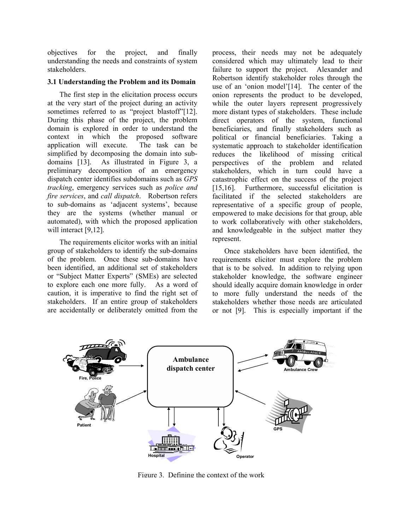objectives for the project, and finally understanding the needs and constraints of system stakeholders.

#### **3.1 Understanding the Problem and its Domain**

 The first step in the elicitation process occurs at the very start of the project during an activity sometimes referred to as "project blastoff"[12]. During this phase of the project, the problem domain is explored in order to understand the context in which the proposed software application will execute. The task can be simplified by decomposing the domain into subdomains [13]. As illustrated in Figure 3, a preliminary decomposition of an emergency dispatch center identifies subdomains such as *GPS tracking*, emergency services such as *police and fire services*, and *call dispatch*. Robertson refers to sub-domains as 'adjacent systems', because they are the systems (whether manual or automated), with which the proposed application will interact [9,12].

 The requirements elicitor works with an initial group of stakeholders to identify the sub-domains of the problem. Once these sub-domains have been identified, an additional set of stakeholders or "Subject Matter Experts" (SMEs) are selected to explore each one more fully. As a word of caution, it is imperative to find the right set of stakeholders. If an entire group of stakeholders are accidentally or deliberately omitted from the

process, their needs may not be adequately considered which may ultimately lead to their failure to support the project. Alexander and Robertson identify stakeholder roles through the use of an 'onion model'[14]. The center of the onion represents the product to be developed, while the outer layers represent progressively more distant types of stakeholders. These include direct operators of the system, functional beneficiaries, and finally stakeholders such as political or financial beneficiaries. Taking a systematic approach to stakeholder identification reduces the likelihood of missing critical perspectives of the problem and related stakeholders, which in turn could have a catastrophic effect on the success of the project [15,16]. Furthermore, successful elicitation is facilitated if the selected stakeholders are representative of a specific group of people, empowered to make decisions for that group, able to work collaboratively with other stakeholders, and knowledgeable in the subject matter they represent.

 Once stakeholders have been identified, the requirements elicitor must explore the problem that is to be solved. In addition to relying upon stakeholder knowledge, the software engineer should ideally acquire domain knowledge in order to more fully understand the needs of the stakeholders whether those needs are articulated or not [9]. This is especially important if the



Figure 3. Defining the context of the work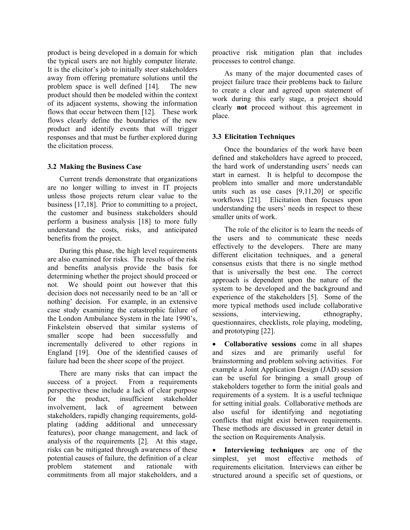product is being developed in a domain for which the typical users are not highly computer literate. It is the elicitor's job to initially steer stakeholders away from offering premature solutions until the problem space is well defined [14]. The new product should then be modeled within the context of its adjacent systems, showing the information flows that occur between them [12]. These work flows clearly define the boundaries of the new product and identify events that will trigger responses and that must be further explored during the elicitation process.

#### **3.2 Making the Business Case**

Current trends demonstrate that organizations are no longer willing to invest in IT projects unless those projects return clear value to the business [17,18]. Prior to committing to a project, the customer and business stakeholders should perform a business analysis [18] to more fully understand the costs, risks, and anticipated benefits from the project.

 During this phase, the high level requirements are also examined for risks. The results of the risk and benefits analysis provide the basis for determining whether the project should proceed or not. We should point out however that this decision does not necessarily need to be an 'all or nothing' decision. For example, in an extensive case study examining the catastrophic failure of the London Ambulance System in the late 1990's, Finkelstein observed that similar systems of smaller scope had been successfully and incrementally delivered to other regions in England [19]. One of the identified causes of failure had been the sheer scope of the project.

 There are many risks that can impact the success of a project. From a requirements perspective these include a lack of clear purpose for the product, insufficient stakeholder involvement, lack of agreement between stakeholders, rapidly changing requirements, goldplating (adding additional and unnecessary features), poor change management, and lack of analysis of the requirements [2]. At this stage, risks can be mitigated through awareness of these potential causes of failure, the definition of a clear problem statement and rationale with commitments from all major stakeholders, and a

proactive risk mitigation plan that includes processes to control change.

 As many of the major documented cases of project failure trace their problems back to failure to create a clear and agreed upon statement of work during this early stage, a project should clearly **not** proceed without this agreement in place.

## **3.3 Elicitation Techniques**

 Once the boundaries of the work have been defined and stakeholders have agreed to proceed, the hard work of understanding users' needs can start in earnest. It is helpful to decompose the problem into smaller and more understandable units such as use cases [9,11,20] or specific workflows [21]*.* Elicitation then focuses upon understanding the users' needs in respect to these smaller units of work.

 The role of the elicitor is to learn the needs of the users and to communicate these needs effectively to the developers. There are many different elicitation techniques, and a general consensus exists that there is no single method that is universally the best one. The correct approach is dependent upon the nature of the system to be developed and the background and experience of the stakeholders [5]. Some of the more typical methods used include collaborative sessions, interviewing, ethnography, questionnaires, checklists, role playing, modeling, and prototyping [22].

• **Collaborative sessions** come in all shapes and sizes and are primarily useful for brainstorming and problem solving activities. For example a Joint Application Design (JAD) session can be useful for bringing a small group of stakeholders together to form the initial goals and requirements of a system. It is a useful technique for setting initial goals. Collaborative methods are also useful for identifying and negotiating conflicts that might exist between requirements. These methods are discussed in greater detail in the section on Requirements Analysis.

**Interviewing techniques** are one of the simplest, yet most effective methods of requirements elicitation. Interviews can either be structured around a specific set of questions, or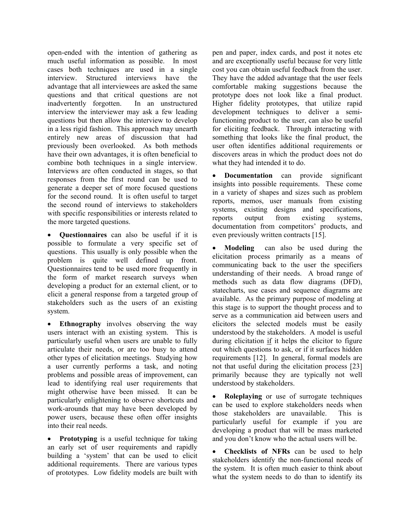open-ended with the intention of gathering as much useful information as possible. In most cases both techniques are used in a single interview. Structured interviews have the advantage that all interviewees are asked the same questions and that critical questions are not inadvertently forgotten. In an unstructured interview the interviewer may ask a few leading questions but then allow the interview to develop in a less rigid fashion. This approach may unearth entirely new areas of discussion that had previously been overlooked. As both methods have their own advantages, it is often beneficial to combine both techniques in a single interview. Interviews are often conducted in stages, so that responses from the first round can be used to generate a deeper set of more focused questions for the second round. It is often useful to target the second round of interviews to stakeholders with specific responsibilities or interests related to the more targeted questions.

• **Questionnaires** can also be useful if it is possible to formulate a very specific set of questions. This usually is only possible when the problem is quite well defined up front. Questionnaires tend to be used more frequently in the form of market research surveys when developing a product for an external client, or to elicit a general response from a targeted group of stakeholders such as the users of an existing system.

• **Ethnography** involves observing the way users interact with an existing system. This is particularly useful when users are unable to fully articulate their needs, or are too busy to attend other types of elicitation meetings. Studying how a user currently performs a task, and noting problems and possible areas of improvement, can lead to identifying real user requirements that might otherwise have been missed. It can be particularly enlightening to observe shortcuts and work-arounds that may have been developed by power users, because these often offer insights into their real needs.

**Prototyping** is a useful technique for taking an early set of user requirements and rapidly building a 'system' that can be used to elicit additional requirements. There are various types of prototypes. Low fidelity models are built with

pen and paper, index cards, and post it notes etc and are exceptionally useful because for very little cost you can obtain useful feedback from the user. They have the added advantage that the user feels comfortable making suggestions because the prototype does not look like a final product. Higher fidelity prototypes, that utilize rapid development techniques to deliver a semifunctioning product to the user, can also be useful for eliciting feedback. Through interacting with something that looks like the final product, the user often identifies additional requirements or discovers areas in which the product does not do what they had intended it to do.

• **Documentation** can provide significant insights into possible requirements. These come in a variety of shapes and sizes such as problem reports, memos, user manuals from existing systems, existing designs and specifications, reports output from existing systems, documentation from competitors' products, and even previously written contracts [15].

• **Modeling** can also be used during the elicitation process primarily as a means of communicating back to the user the specifiers understanding of their needs. A broad range of methods such as data flow diagrams (DFD), statecharts, use cases and sequence diagrams are available. As the primary purpose of modeling at this stage is to support the thought process and to serve as a communication aid between users and elicitors the selected models must be easily understood by the stakeholders. A model is useful during elicitation if it helps the elicitor to figure out which questions to ask, or if it surfaces hidden requirements [12]. In general, formal models are not that useful during the elicitation process [23] primarily because they are typically not well understood by stakeholders.

• **Roleplaying** or use of surrogate techniques can be used to explore stakeholders needs when those stakeholders are unavailable. This is particularly useful for example if you are developing a product that will be mass marketed and you don't know who the actual users will be.

• **Checklists of NFRs** can be used to help stakeholders identify the non-functional needs of the system. It is often much easier to think about what the system needs to do than to identify its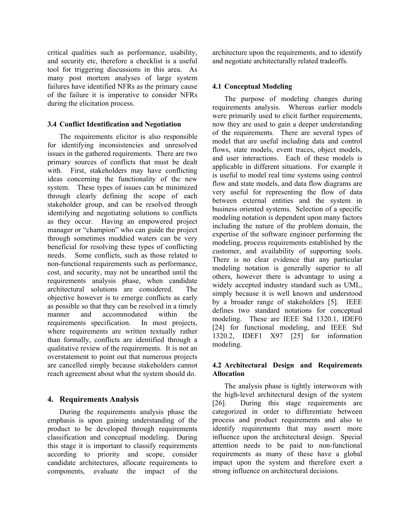critical qualities such as performance, usability, and security etc, therefore a checklist is a useful tool for triggering discussions in this area. As many post mortem analyses of large system failures have identified NFRs as the primary cause of the failure it is imperative to consider NFRs during the elicitation process.

#### **3.4 Conflict Identification and Negotiation**

 The requirements elicitor is also responsible for identifying inconsistencies and unresolved issues in the gathered requirements. There are two primary sources of conflicts that must be dealt with. First, stakeholders may have conflicting ideas concerning the functionality of the new system. These types of issues can be minimized through clearly defining the scope of each stakeholder group, and can be resolved through identifying and negotiating solutions to conflicts as they occur. Having an empowered project manager or "champion" who can guide the project through sometimes muddied waters can be very beneficial for resolving these types of conflicting needs. Some conflicts, such as those related to non-functional requirements such as performance, cost, and security, may not be unearthed until the requirements analysis phase, when candidate architectural solutions are considered. The objective however is to emerge conflicts as early as possible so that they can be resolved in a timely manner and accommodated within the requirements specification. In most projects, where requirements are written textually rather than formally, conflicts are identified through a qualitative review of the requirements. It is not an overstatement to point out that numerous projects are cancelled simply because stakeholders cannot reach agreement about what the system should do.

# **4. Requirements Analysis**

 During the requirements analysis phase the emphasis is upon gaining understanding of the product to be developed through requirements classification and conceptual modeling. During this stage it is important to classify requirements according to priority and scope, consider candidate architectures, allocate requirements to components, evaluate the impact of the

architecture upon the requirements, and to identify and negotiate architecturally related tradeoffs.

## **4.1 Conceptual Modeling**

 The purpose of modeling changes during requirements analysis. Whereas earlier models were primarily used to elicit further requirements, now they are used to gain a deeper understanding of the requirements. There are several types of model that are useful including data and control flows, state models, event traces, object models, and user interactions. Each of these models is applicable in different situations. For example it is useful to model real time systems using control flow and state models, and data flow diagrams are very useful for representing the flow of data between external entities and the system in business oriented systems. Selection of a specific modeling notation is dependent upon many factors including the nature of the problem domain, the expertise of the software engineer performing the modeling, process requirements established by the customer, and availability of supporting tools. There is no clear evidence that any particular modeling notation is generally superior to all others, however there is advantage to using a widely accepted industry standard such as UML, simply because it is well known and understood by a broader range of stakeholders [5]. IEEE defines two standard notations for conceptual modeling. These are IEEE Std 1320.1, IDEF0 [24] for functional modeling, and IEEE Std 1320.2, IDEF1 X97 [25] for information modeling.

### **4.2 Architectural Design and Requirements Allocation**

 The analysis phase is tightly interwoven with the high-level architectural design of the system [26]. During this stage requirements are categorized in order to differentiate between process and product requirements and also to identify requirements that may assert more influence upon the architectural design. Special attention needs to be paid to non-functional requirements as many of these have a global impact upon the system and therefore exert a strong influence on architectural decisions.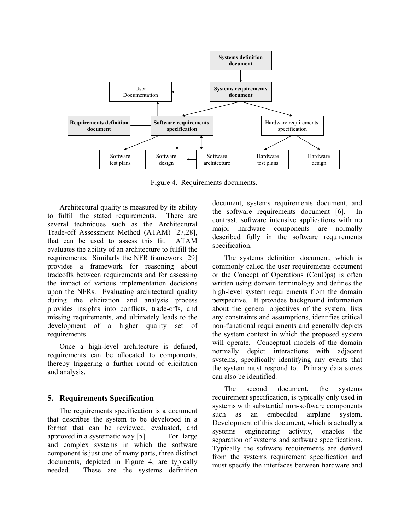

Figure 4. Requirements documents.

 Architectural quality is measured by its ability to fulfill the stated requirements. There are several techniques such as the Architectural Trade-off Assessment Method (ATAM) [27,28], that can be used to assess this fit. ATAM evaluates the ability of an architecture to fulfill the requirements. Similarly the NFR framework [29] provides a framework for reasoning about tradeoffs between requirements and for assessing the impact of various implementation decisions upon the NFRs. Evaluating architectural quality during the elicitation and analysis process provides insights into conflicts, trade-offs, and missing requirements, and ultimately leads to the development of a higher quality set of requirements.

 Once a high-level architecture is defined, requirements can be allocated to components, thereby triggering a further round of elicitation and analysis.

### **5. Requirements Specification**

 The requirements specification is a document that describes the system to be developed in a format that can be reviewed, evaluated, and approved in a systematic way [5]. For large and complex systems in which the software component is just one of many parts, three distinct documents, depicted in Figure 4, are typically needed. These are the systems definition

document, systems requirements document, and the software requirements document [6]. In contrast, software intensive applications with no major hardware components are normally described fully in the software requirements specification.

 The systems definition document, which is commonly called the user requirements document or the Concept of Operations (ConOps) is often written using domain terminology and defines the high-level system requirements from the domain perspective. It provides background information about the general objectives of the system, lists any constraints and assumptions, identifies critical non-functional requirements and generally depicts the system context in which the proposed system will operate. Conceptual models of the domain normally depict interactions with adjacent systems, specifically identifying any events that the system must respond to. Primary data stores can also be identified.

 The second document, the systems requirement specification, is typically only used in systems with substantial non-software components such as an embedded airplane system. Development of this document, which is actually a systems engineering activity, enables the separation of systems and software specifications. Typically the software requirements are derived from the systems requirement specification and must specify the interfaces between hardware and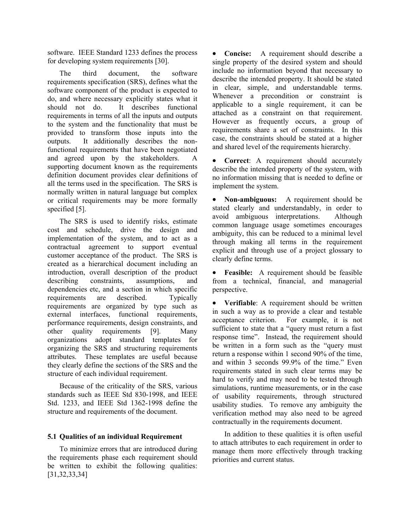software. IEEE Standard 1233 defines the process for developing system requirements [30].

 The third document, the software requirements specification (SRS), defines what the software component of the product is expected to do, and where necessary explicitly states what it should not do. It describes functional requirements in terms of all the inputs and outputs to the system and the functionality that must be provided to transform those inputs into the outputs. It additionally describes the nonfunctional requirements that have been negotiated and agreed upon by the stakeholders. A supporting document known as the requirements definition document provides clear definitions of all the terms used in the specification. The SRS is normally written in natural language but complex or critical requirements may be more formally specified [5].

 The SRS is used to identify risks, estimate cost and schedule, drive the design and implementation of the system, and to act as a contractual agreement to support eventual customer acceptance of the product. The SRS is created as a hierarchical document including an introduction, overall description of the product describing constraints, assumptions, and dependencies etc, and a section in which specific requirements are described. Typically requirements are organized by type such as external interfaces, functional requirements, performance requirements, design constraints, and other quality requirements [9]. Many organizations adopt standard templates for organizing the SRS and structuring requirements attributes. These templates are useful because they clearly define the sections of the SRS and the structure of each individual requirement.

 Because of the criticality of the SRS, various standards such as IEEE Std 830-1998, and IEEE Std. 1233, and IEEE Std 1362-1998 define the structure and requirements of the document.

### **5.1 Qualities of an individual Requirement**

 To minimize errors that are introduced during the requirements phase each requirement should be written to exhibit the following qualities: [31,32,33,34]

• **Concise:** A requirement should describe a single property of the desired system and should include no information beyond that necessary to describe the intended property. It should be stated in clear, simple, and understandable terms. Whenever a precondition or constraint is applicable to a single requirement, it can be attached as a constraint on that requirement. However as frequently occurs, a group of requirements share a set of constraints. In this case, the constraints should be stated at a higher and shared level of the requirements hierarchy.

• **Correct**: A requirement should accurately describe the intended property of the system, with no information missing that is needed to define or implement the system.

• **Non-ambiguous:** A requirement should be stated clearly and understandably, in order to avoid ambiguous interpretations. Although common language usage sometimes encourages ambiguity, this can be reduced to a minimal level through making all terms in the requirement explicit and through use of a project glossary to clearly define terms.

• **Feasible:** A requirement should be feasible from a technical, financial, and managerial perspective.

• **Verifiable**: A requirement should be written in such a way as to provide a clear and testable acceptance criterion. For example, it is not sufficient to state that a "query must return a fast response time". Instead, the requirement should be written in a form such as the "query must return a response within 1 second 90% of the time, and within 3 seconds 99.9% of the time." Even requirements stated in such clear terms may be hard to verify and may need to be tested through simulations, runtime measurements, or in the case of usability requirements, through structured usability studies. To remove any ambiguity the verification method may also need to be agreed contractually in the requirements document.

 In addition to these qualities it is often useful to attach attributes to each requirement in order to manage them more effectively through tracking priorities and current status.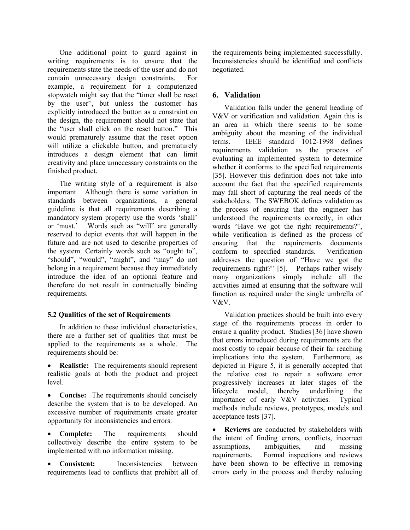One additional point to guard against in writing requirements is to ensure that the requirements state the needs of the user and do not contain unnecessary design constraints. For example, a requirement for a computerized stopwatch might say that the "timer shall be reset by the user", but unless the customer has explicitly introduced the button as a constraint on the design, the requirement should not state that the "user shall click on the reset button." This would prematurely assume that the reset option will utilize a clickable button, and prematurely introduces a design element that can limit creativity and place unnecessary constraints on the finished product.

 The writing style of a requirement is also important. Although there is some variation in standards between organizations, a general guideline is that all requirements describing a mandatory system property use the words 'shall' or 'must.' Words such as "will" are generally reserved to depict events that will happen in the future and are not used to describe properties of the system. Certainly words such as "ought to", "should", "would", "might", and "may" do not belong in a requirement because they immediately introduce the idea of an optional feature and therefore do not result in contractually binding requirements.

# **5.2 Qualities of the set of Requirements**

 In addition to these individual characteristics, there are a further set of qualities that must be applied to the requirements as a whole. The requirements should be:

- **Realistic:** The requirements should represent realistic goals at both the product and project level.
- **Concise:** The requirements should concisely describe the system that is to be developed. An excessive number of requirements create greater opportunity for inconsistencies and errors.

• **Complete:** The requirements should collectively describe the entire system to be implemented with no information missing.

**Consistent:** Inconsistencies between requirements lead to conflicts that prohibit all of

the requirements being implemented successfully. Inconsistencies should be identified and conflicts negotiated.

# **6. Validation**

 Validation falls under the general heading of V&V or verification and validation. Again this is an area in which there seems to be some ambiguity about the meaning of the individual terms. IEEE standard 1012-1998 defines requirements validation as the process of evaluating an implemented system to determine whether it conforms to the specified requirements [35]. However this definition does not take into account the fact that the specified requirements may fall short of capturing the real needs of the stakeholders. The SWEBOK defines validation as the process of ensuring that the engineer has understood the requirements correctly, in other words "Have we got the right requirements?", while verification is defined as the process of ensuring that the requirements documents conform to specified standards. Verification addresses the question of "Have we got the requirements right?" [5]. Perhaps rather wisely many organizations simply include all the activities aimed at ensuring that the software will function as required under the single umbrella of V&V.

 Validation practices should be built into every stage of the requirements process in order to ensure a quality product. Studies [36] have shown that errors introduced during requirements are the most costly to repair because of their far reaching implications into the system. Furthermore, as depicted in Figure 5, it is generally accepted that the relative cost to repair a software error progressively increases at later stages of the lifecycle model, thereby underlining the importance of early V&V activities. Typical methods include reviews, prototypes, models and acceptance tests [37].

**Reviews** are conducted by stakeholders with the intent of finding errors, conflicts, incorrect assumptions, ambiguities, and missing requirements. Formal inspections and reviews have been shown to be effective in removing errors early in the process and thereby reducing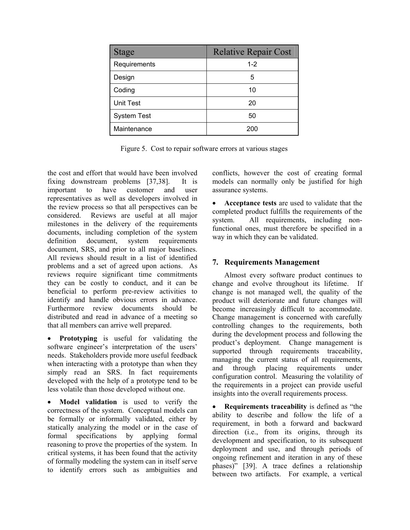| <b>Stage</b>       | <b>Relative Repair Cost</b> |
|--------------------|-----------------------------|
| Requirements       | $1 - 2$                     |
| Design             | 5                           |
| Coding             | 10                          |
| <b>Unit Test</b>   | 20                          |
| <b>System Test</b> | 50                          |
| Maintenance        | 200                         |

Figure 5. Cost to repair software errors at various stages

the cost and effort that would have been involved fixing downstream problems [37,38]. It is important to have customer and user representatives as well as developers involved in the review process so that all perspectives can be considered. Reviews are useful at all major milestones in the delivery of the requirements documents, including completion of the system definition document, system requirements document, SRS, and prior to all major baselines. All reviews should result in a list of identified problems and a set of agreed upon actions. As reviews require significant time commitments they can be costly to conduct, and it can be beneficial to perform pre-review activities to identify and handle obvious errors in advance. Furthermore review documents should be distributed and read in advance of a meeting so that all members can arrive well prepared.

• **Prototyping** is useful for validating the software engineer's interpretation of the users' needs. Stakeholders provide more useful feedback when interacting with a prototype than when they simply read an SRS. In fact requirements developed with the help of a prototype tend to be less volatile than those developed without one.

• **Model validation** is used to verify the correctness of the system. Conceptual models can be formally or informally validated, either by statically analyzing the model or in the case of formal specifications by applying formal reasoning to prove the properties of the system. In critical systems, it has been found that the activity of formally modeling the system can in itself serve to identify errors such as ambiguities and

conflicts, however the cost of creating formal models can normally only be justified for high assurance systems.

• **Acceptance tests** are used to validate that the completed product fulfills the requirements of the system. All requirements, including nonfunctional ones, must therefore be specified in a way in which they can be validated.

# **7. Requirements Management**

 Almost every software product continues to change and evolve throughout its lifetime. If change is not managed well, the quality of the product will deteriorate and future changes will become increasingly difficult to accommodate. Change management is concerned with carefully controlling changes to the requirements, both during the development process and following the product's deployment. Change management is supported through requirements traceability, managing the current status of all requirements, and through placing requirements under configuration control. Measuring the volatility of the requirements in a project can provide useful insights into the overall requirements process.

**Requirements traceability** is defined as "the ability to describe and follow the life of a requirement, in both a forward and backward direction (i.e., from its origins, through its development and specification, to its subsequent deployment and use, and through periods of ongoing refinement and iteration in any of these phases)" [39]. A trace defines a relationship between two artifacts. For example, a vertical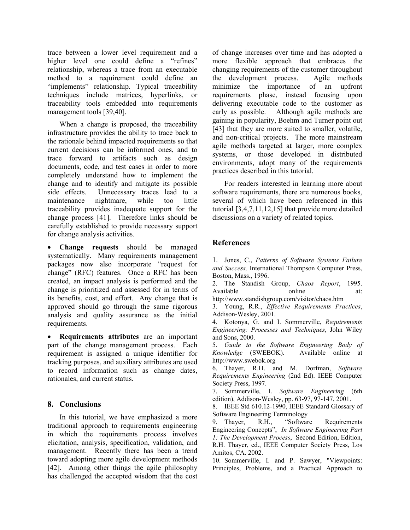trace between a lower level requirement and a higher level one could define a "refines" relationship, whereas a trace from an executable method to a requirement could define an "implements" relationship. Typical traceability techniques include matrices, hyperlinks, or traceability tools embedded into requirements management tools [39,40].

When a change is proposed, the traceability infrastructure provides the ability to trace back to the rationale behind impacted requirements so that current decisions can be informed ones, and to trace forward to artifacts such as design documents, code, and test cases in order to more completely understand how to implement the change and to identify and mitigate its possible side effects. Unnecessary traces lead to a maintenance nightmare, while too little traceability provides inadequate support for the change process [41]. Therefore links should be carefully established to provide necessary support for change analysis activities.

• **Change requests** should be managed systematically. Many requirements management packages now also incorporate "request for change" (RFC) features. Once a RFC has been created, an impact analysis is performed and the change is prioritized and assessed for in terms of its benefits, cost, and effort. Any change that is approved should go through the same rigorous analysis and quality assurance as the initial requirements.

• **Requirements attributes** are an important part of the change management process. Each requirement is assigned a unique identifier for tracking purposes, and auxiliary attributes are used to record information such as change dates, rationales, and current status.

# **8. Conclusions**

 In this tutorial, we have emphasized a more traditional approach to requirements engineering in which the requirements process involves elicitation, analysis, specification, validation, and management. Recently there has been a trend toward adopting more agile development methods [42]. Among other things the agile philosophy has challenged the accepted wisdom that the cost

of change increases over time and has adopted a more flexible approach that embraces the changing requirements of the customer throughout the development process. Agile methods minimize the importance of an upfront requirements phase, instead focusing upon delivering executable code to the customer as early as possible. Although agile methods are gaining in popularity, Boehm and Turner point out [43] that they are more suited to smaller, volatile, and non-critical projects. The more mainstream agile methods targeted at larger, more complex systems, or those developed in distributed environments, adopt many of the requirements practices described in this tutorial.

 For readers interested in learning more about software requirements, there are numerous books, several of which have been referenced in this tutorial [3,4,7,11,12,15] that provide more detailed discussions on a variety of related topics.

# **References**

1. Jones, C., *Patterns of Software Systems Failure and Success,* International Thompson Computer Press, Boston, Mass., 1996.

2. The Standish Group, *Chaos Report*, 1995. Available online at: http://www.standishgroup.com/visitor/chaos.htm

3. Young, R.R., *Effective Requirements Practices*, Addison-Wesley, 2001.

4. Kotonya, G. and I. Sommerville, *Requirements Engineering: Processes and Techniques*, John Wiley and Sons, 2000.

5. *Guide to the Software Engineering Body of Knowledge* (SWEBOK). Available online at http://www.swebok.org

6. Thayer, R.H. and M. Dorfman, *Software Requirements Engineering* (2nd Ed). IEEE Computer Society Press, 1997.

7. Sommerville, I. *Software Engineering* (6th edition), Addison-Wesley, pp. 63-97, 97-147, 2001.

8. IEEE Std 610.12-1990, IEEE Standard Glossary of Software Engineering Terminology

9. Thayer, R.H., "Software Requirements Engineering Concepts", *In Software Engineering Part 1: The Development Process*, Second Edition, Edition, R.H. Thayer, ed., IEEE Computer Society Press, Los Amitos, CA. 2002.

10. Sommerville, I. and P. Sawyer, "Viewpoints: Principles, Problems, and a Practical Approach to